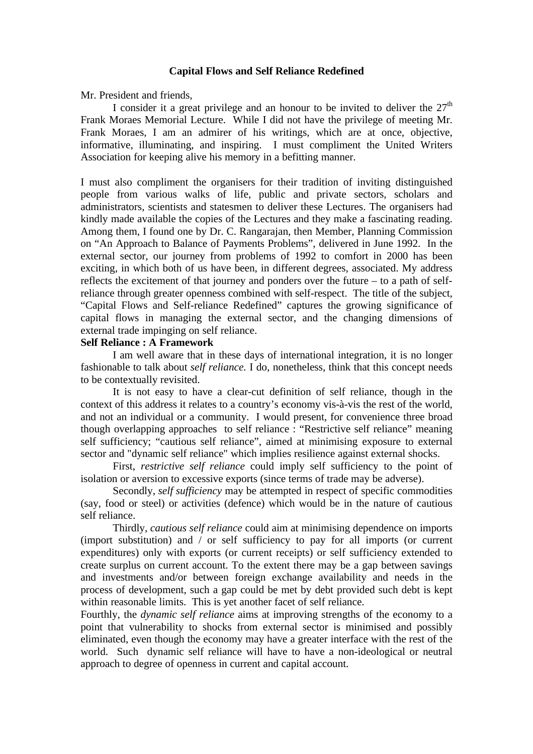### **Capital Flows and Self Reliance Redefined**

Mr. President and friends,

I consider it a great privilege and an honour to be invited to deliver the  $27<sup>th</sup>$ Frank Moraes Memorial Lecture. While I did not have the privilege of meeting Mr. Frank Moraes, I am an admirer of his writings, which are at once, objective, informative, illuminating, and inspiring. I must compliment the United Writers Association for keeping alive his memory in a befitting manner.

I must also compliment the organisers for their tradition of inviting distinguished people from various walks of life, public and private sectors, scholars and administrators, scientists and statesmen to deliver these Lectures. The organisers had kindly made available the copies of the Lectures and they make a fascinating reading. Among them, I found one by Dr. C. Rangarajan, then Member, Planning Commission on "An Approach to Balance of Payments Problems", delivered in June 1992. In the external sector, our journey from problems of 1992 to comfort in 2000 has been exciting, in which both of us have been, in different degrees, associated. My address reflects the excitement of that journey and ponders over the future – to a path of selfreliance through greater openness combined with self-respect. The title of the subject, "Capital Flows and Self-reliance Redefined" captures the growing significance of capital flows in managing the external sector, and the changing dimensions of external trade impinging on self reliance.

# **Self Reliance : A Framework**

I am well aware that in these days of international integration, it is no longer fashionable to talk about *self reliance.* I do, nonetheless, think that this concept needs to be contextually revisited.

It is not easy to have a clear-cut definition of self reliance, though in the context of this address it relates to a country's economy vis-à-vis the rest of the world, and not an individual or a community. I would present, for convenience three broad though overlapping approaches to self reliance : "Restrictive self reliance" meaning self sufficiency; "cautious self reliance", aimed at minimising exposure to external sector and "dynamic self reliance" which implies resilience against external shocks.

First, *restrictive self reliance* could imply self sufficiency to the point of isolation or aversion to excessive exports (since terms of trade may be adverse).

Secondly, *self sufficiency* may be attempted in respect of specific commodities (say, food or steel) or activities (defence) which would be in the nature of cautious self reliance.

Thirdly, *cautious self reliance* could aim at minimising dependence on imports (import substitution) and / or self sufficiency to pay for all imports (or current expenditures) only with exports (or current receipts) or self sufficiency extended to create surplus on current account. To the extent there may be a gap between savings and investments and/or between foreign exchange availability and needs in the process of development, such a gap could be met by debt provided such debt is kept within reasonable limits. This is yet another facet of self reliance.

Fourthly, the *dynamic self reliance* aims at improving strengths of the economy to a point that vulnerability to shocks from external sector is minimised and possibly eliminated, even though the economy may have a greater interface with the rest of the world. Such dynamic self reliance will have to have a non-ideological or neutral approach to degree of openness in current and capital account.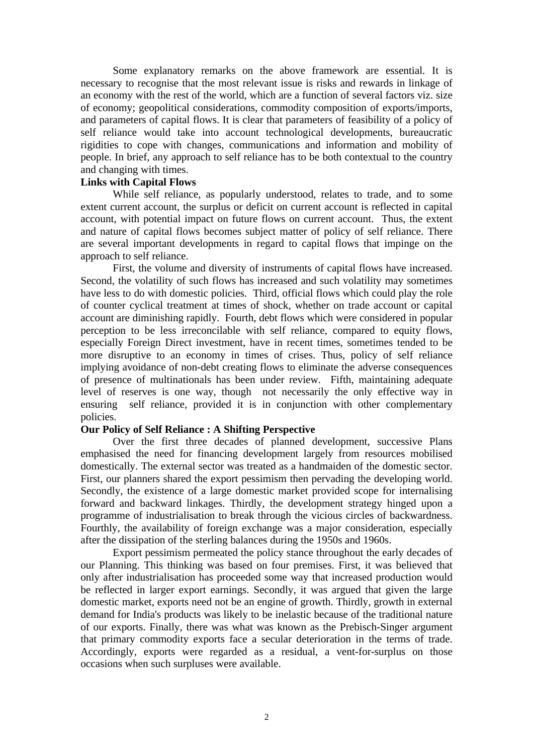Some explanatory remarks on the above framework are essential. It is necessary to recognise that the most relevant issue is risks and rewards in linkage of an economy with the rest of the world, which are a function of several factors viz. size of economy; geopolitical considerations, commodity composition of exports/imports, and parameters of capital flows. It is clear that parameters of feasibility of a policy of self reliance would take into account technological developments, bureaucratic rigidities to cope with changes, communications and information and mobility of people. In brief, any approach to self reliance has to be both contextual to the country and changing with times.

# **Links with Capital Flows**

While self reliance, as popularly understood, relates to trade, and to some extent current account, the surplus or deficit on current account is reflected in capital account, with potential impact on future flows on current account. Thus, the extent and nature of capital flows becomes subject matter of policy of self reliance. There are several important developments in regard to capital flows that impinge on the approach to self reliance.

First, the volume and diversity of instruments of capital flows have increased. Second, the volatility of such flows has increased and such volatility may sometimes have less to do with domestic policies. Third, official flows which could play the role of counter cyclical treatment at times of shock, whether on trade account or capital account are diminishing rapidly. Fourth, debt flows which were considered in popular perception to be less irreconcilable with self reliance, compared to equity flows, especially Foreign Direct investment, have in recent times, sometimes tended to be more disruptive to an economy in times of crises. Thus, policy of self reliance implying avoidance of non-debt creating flows to eliminate the adverse consequences of presence of multinationals has been under review. Fifth, maintaining adequate level of reserves is one way, though not necessarily the only effective way in ensuring self reliance, provided it is in conjunction with other complementary policies.

### **Our Policy of Self Reliance : A Shifting Perspective**

Over the first three decades of planned development, successive Plans emphasised the need for financing development largely from resources mobilised domestically. The external sector was treated as a handmaiden of the domestic sector. First, our planners shared the export pessimism then pervading the developing world. Secondly, the existence of a large domestic market provided scope for internalising forward and backward linkages. Thirdly, the development strategy hinged upon a programme of industrialisation to break through the vicious circles of backwardness. Fourthly, the availability of foreign exchange was a major consideration, especially after the dissipation of the sterling balances during the 1950s and 1960s.

Export pessimism permeated the policy stance throughout the early decades of our Planning. This thinking was based on four premises. First, it was believed that only after industrialisation has proceeded some way that increased production would be reflected in larger export earnings. Secondly, it was argued that given the large domestic market, exports need not be an engine of growth. Thirdly, growth in external demand for India's products was likely to be inelastic because of the traditional nature of our exports. Finally, there was what was known as the Prebisch-Singer argument that primary commodity exports face a secular deterioration in the terms of trade. Accordingly, exports were regarded as a residual, a vent-for-surplus on those occasions when such surpluses were available.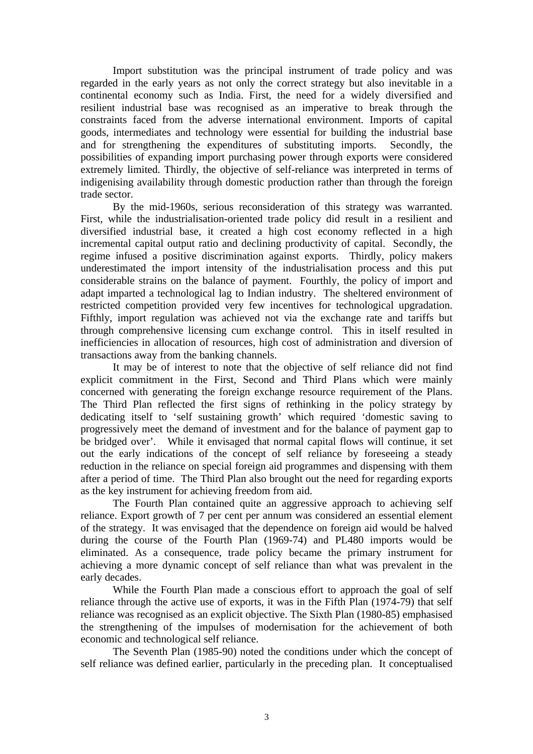Import substitution was the principal instrument of trade policy and was regarded in the early years as not only the correct strategy but also inevitable in a continental economy such as India. First, the need for a widely diversified and resilient industrial base was recognised as an imperative to break through the constraints faced from the adverse international environment. Imports of capital goods, intermediates and technology were essential for building the industrial base and for strengthening the expenditures of substituting imports. Secondly, the possibilities of expanding import purchasing power through exports were considered extremely limited. Thirdly, the objective of self-reliance was interpreted in terms of indigenising availability through domestic production rather than through the foreign trade sector.

By the mid-1960s, serious reconsideration of this strategy was warranted. First, while the industrialisation-oriented trade policy did result in a resilient and diversified industrial base, it created a high cost economy reflected in a high incremental capital output ratio and declining productivity of capital. Secondly, the regime infused a positive discrimination against exports. Thirdly, policy makers underestimated the import intensity of the industrialisation process and this put considerable strains on the balance of payment. Fourthly, the policy of import and adapt imparted a technological lag to Indian industry. The sheltered environment of restricted competition provided very few incentives for technological upgradation. Fifthly, import regulation was achieved not via the exchange rate and tariffs but through comprehensive licensing cum exchange control. This in itself resulted in inefficiencies in allocation of resources, high cost of administration and diversion of transactions away from the banking channels.

It may be of interest to note that the objective of self reliance did not find explicit commitment in the First, Second and Third Plans which were mainly concerned with generating the foreign exchange resource requirement of the Plans. The Third Plan reflected the first signs of rethinking in the policy strategy by dedicating itself to 'self sustaining growth' which required 'domestic saving to progressively meet the demand of investment and for the balance of payment gap to be bridged over'. While it envisaged that normal capital flows will continue, it set out the early indications of the concept of self reliance by foreseeing a steady reduction in the reliance on special foreign aid programmes and dispensing with them after a period of time. The Third Plan also brought out the need for regarding exports as the key instrument for achieving freedom from aid.

The Fourth Plan contained quite an aggressive approach to achieving self reliance. Export growth of 7 per cent per annum was considered an essential element of the strategy. It was envisaged that the dependence on foreign aid would be halved during the course of the Fourth Plan (1969-74) and PL480 imports would be eliminated. As a consequence, trade policy became the primary instrument for achieving a more dynamic concept of self reliance than what was prevalent in the early decades.

While the Fourth Plan made a conscious effort to approach the goal of self reliance through the active use of exports, it was in the Fifth Plan (1974-79) that self reliance was recognised as an explicit objective. The Sixth Plan (1980-85) emphasised the strengthening of the impulses of modernisation for the achievement of both economic and technological self reliance.

The Seventh Plan (1985-90) noted the conditions under which the concept of self reliance was defined earlier, particularly in the preceding plan. It conceptualised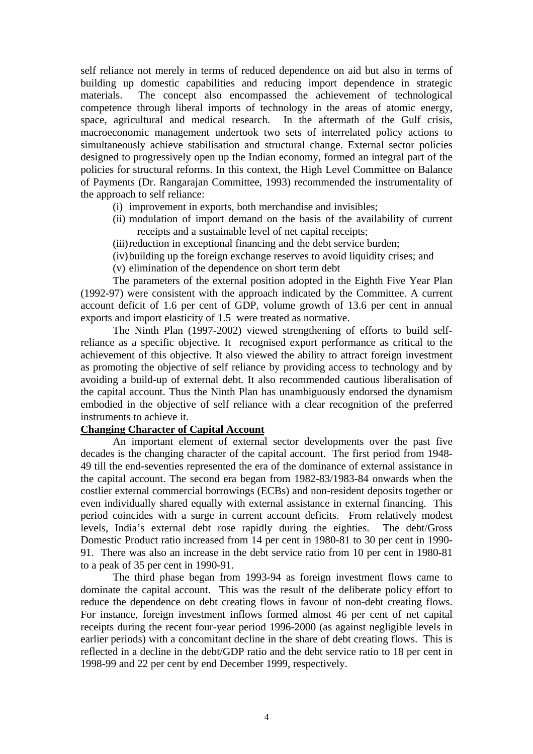self reliance not merely in terms of reduced dependence on aid but also in terms of building up domestic capabilities and reducing import dependence in strategic materials. The concept also encompassed the achievement of technological competence through liberal imports of technology in the areas of atomic energy, space, agricultural and medical research. In the aftermath of the Gulf crisis, macroeconomic management undertook two sets of interrelated policy actions to simultaneously achieve stabilisation and structural change. External sector policies designed to progressively open up the Indian economy, formed an integral part of the policies for structural reforms. In this context, the High Level Committee on Balance of Payments (Dr. Rangarajan Committee, 1993) recommended the instrumentality of the approach to self reliance:

- (i) improvement in exports, both merchandise and invisibles;
- (ii) modulation of import demand on the basis of the availability of current receipts and a sustainable level of net capital receipts;
- (iii)reduction in exceptional financing and the debt service burden;
- (iv)building up the foreign exchange reserves to avoid liquidity crises; and
- (v) elimination of the dependence on short term debt

The parameters of the external position adopted in the Eighth Five Year Plan (1992-97) were consistent with the approach indicated by the Committee. A current account deficit of 1.6 per cent of GDP, volume growth of 13.6 per cent in annual exports and import elasticity of 1.5 were treated as normative.

The Ninth Plan (1997-2002) viewed strengthening of efforts to build selfreliance as a specific objective. It recognised export performance as critical to the achievement of this objective. It also viewed the ability to attract foreign investment as promoting the objective of self reliance by providing access to technology and by avoiding a build-up of external debt. It also recommended cautious liberalisation of the capital account. Thus the Ninth Plan has unambiguously endorsed the dynamism embodied in the objective of self reliance with a clear recognition of the preferred instruments to achieve it.

### **Changing Character of Capital Account**

An important element of external sector developments over the past five decades is the changing character of the capital account. The first period from 1948- 49 till the end-seventies represented the era of the dominance of external assistance in the capital account. The second era began from 1982-83/1983-84 onwards when the costlier external commercial borrowings (ECBs) and non-resident deposits together or even individually shared equally with external assistance in external financing. This period coincides with a surge in current account deficits. From relatively modest levels, India's external debt rose rapidly during the eighties. The debt/Gross Domestic Product ratio increased from 14 per cent in 1980-81 to 30 per cent in 1990- 91. There was also an increase in the debt service ratio from 10 per cent in 1980-81 to a peak of 35 per cent in 1990-91.

The third phase began from 1993-94 as foreign investment flows came to dominate the capital account. This was the result of the deliberate policy effort to reduce the dependence on debt creating flows in favour of non-debt creating flows. For instance, foreign investment inflows formed almost 46 per cent of net capital receipts during the recent four-year period 1996-2000 (as against negligible levels in earlier periods) with a concomitant decline in the share of debt creating flows. This is reflected in a decline in the debt/GDP ratio and the debt service ratio to 18 per cent in 1998-99 and 22 per cent by end December 1999, respectively.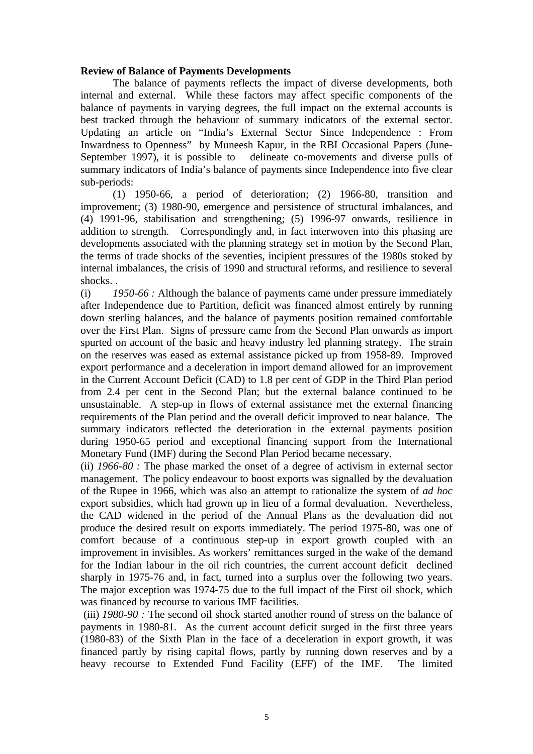# **Review of Balance of Payments Developments**

The balance of payments reflects the impact of diverse developments, both internal and external. While these factors may affect specific components of the balance of payments in varying degrees, the full impact on the external accounts is best tracked through the behaviour of summary indicators of the external sector. Updating an article on "India's External Sector Since Independence : From Inwardness to Openness" by Muneesh Kapur, in the RBI Occasional Papers (June-September 1997), it is possible to delineate co-movements and diverse pulls of summary indicators of India's balance of payments since Independence into five clear sub-periods:

(1) 1950-66, a period of deterioration; (2) 1966-80, transition and improvement; (3) 1980-90, emergence and persistence of structural imbalances, and (4) 1991-96, stabilisation and strengthening; (5) 1996-97 onwards, resilience in addition to strength. Correspondingly and, in fact interwoven into this phasing are developments associated with the planning strategy set in motion by the Second Plan, the terms of trade shocks of the seventies, incipient pressures of the 1980s stoked by internal imbalances, the crisis of 1990 and structural reforms, and resilience to several shocks. .

(i) *1950-66 :* Although the balance of payments came under pressure immediately after Independence due to Partition, deficit was financed almost entirely by running down sterling balances, and the balance of payments position remained comfortable over the First Plan. Signs of pressure came from the Second Plan onwards as import spurted on account of the basic and heavy industry led planning strategy. The strain on the reserves was eased as external assistance picked up from 1958-89. Improved export performance and a deceleration in import demand allowed for an improvement in the Current Account Deficit (CAD) to 1.8 per cent of GDP in the Third Plan period from 2.4 per cent in the Second Plan; but the external balance continued to be unsustainable. A step-up in flows of external assistance met the external financing requirements of the Plan period and the overall deficit improved to near balance. The summary indicators reflected the deterioration in the external payments position during 1950-65 period and exceptional financing support from the International Monetary Fund (IMF) during the Second Plan Period became necessary.

(ii) *1966-80 :* The phase marked the onset of a degree of activism in external sector management. The policy endeavour to boost exports was signalled by the devaluation of the Rupee in 1966, which was also an attempt to rationalize the system of *ad hoc* export subsidies, which had grown up in lieu of a formal devaluation. Nevertheless, the CAD widened in the period of the Annual Plans as the devaluation did not produce the desired result on exports immediately. The period 1975-80, was one of comfort because of a continuous step-up in export growth coupled with an improvement in invisibles. As workers' remittances surged in the wake of the demand for the Indian labour in the oil rich countries, the current account deficit declined sharply in 1975-76 and, in fact, turned into a surplus over the following two years. The major exception was 1974-75 due to the full impact of the First oil shock, which was financed by recourse to various IMF facilities.

 (iii) *1980-90 :* The second oil shock started another round of stress on the balance of payments in 1980-81. As the current account deficit surged in the first three years (1980-83) of the Sixth Plan in the face of a deceleration in export growth, it was financed partly by rising capital flows, partly by running down reserves and by a heavy recourse to Extended Fund Facility (EFF) of the IMF. The limited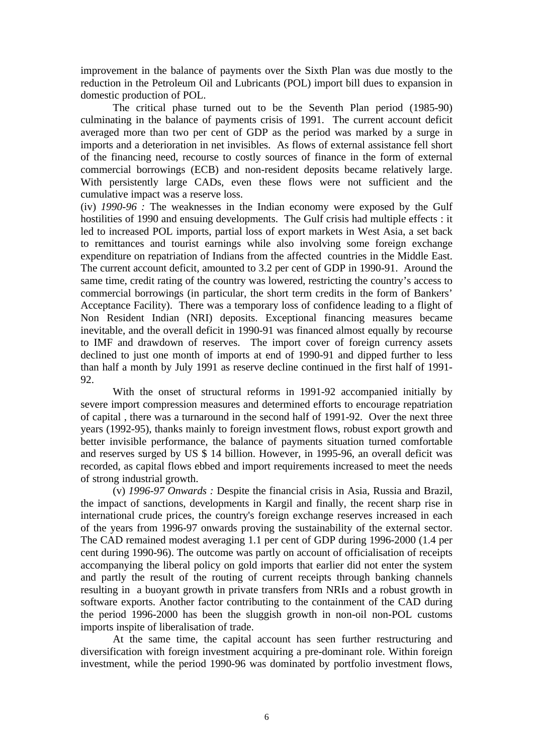improvement in the balance of payments over the Sixth Plan was due mostly to the reduction in the Petroleum Oil and Lubricants (POL) import bill dues to expansion in domestic production of POL.

The critical phase turned out to be the Seventh Plan period (1985-90) culminating in the balance of payments crisis of 1991. The current account deficit averaged more than two per cent of GDP as the period was marked by a surge in imports and a deterioration in net invisibles. As flows of external assistance fell short of the financing need, recourse to costly sources of finance in the form of external commercial borrowings (ECB) and non-resident deposits became relatively large. With persistently large CADs, even these flows were not sufficient and the cumulative impact was a reserve loss.

(iv) *1990-96 :* The weaknesses in the Indian economy were exposed by the Gulf hostilities of 1990 and ensuing developments. The Gulf crisis had multiple effects : it led to increased POL imports, partial loss of export markets in West Asia, a set back to remittances and tourist earnings while also involving some foreign exchange expenditure on repatriation of Indians from the affected countries in the Middle East. The current account deficit, amounted to 3.2 per cent of GDP in 1990-91. Around the same time, credit rating of the country was lowered, restricting the country's access to commercial borrowings (in particular, the short term credits in the form of Bankers' Acceptance Facility). There was a temporary loss of confidence leading to a flight of Non Resident Indian (NRI) deposits. Exceptional financing measures became inevitable, and the overall deficit in 1990-91 was financed almost equally by recourse to IMF and drawdown of reserves. The import cover of foreign currency assets declined to just one month of imports at end of 1990-91 and dipped further to less than half a month by July 1991 as reserve decline continued in the first half of 1991- 92.

With the onset of structural reforms in 1991-92 accompanied initially by severe import compression measures and determined efforts to encourage repatriation of capital , there was a turnaround in the second half of 1991-92. Over the next three years (1992-95), thanks mainly to foreign investment flows, robust export growth and better invisible performance, the balance of payments situation turned comfortable and reserves surged by US \$ 14 billion. However, in 1995-96, an overall deficit was recorded, as capital flows ebbed and import requirements increased to meet the needs of strong industrial growth.

(v) *1996-97 Onwards :* Despite the financial crisis in Asia, Russia and Brazil, the impact of sanctions, developments in Kargil and finally, the recent sharp rise in international crude prices, the country's foreign exchange reserves increased in each of the years from 1996-97 onwards proving the sustainability of the external sector. The CAD remained modest averaging 1.1 per cent of GDP during 1996-2000 (1.4 per cent during 1990-96). The outcome was partly on account of officialisation of receipts accompanying the liberal policy on gold imports that earlier did not enter the system and partly the result of the routing of current receipts through banking channels resulting in a buoyant growth in private transfers from NRIs and a robust growth in software exports. Another factor contributing to the containment of the CAD during the period 1996-2000 has been the sluggish growth in non-oil non-POL customs imports inspite of liberalisation of trade.

At the same time, the capital account has seen further restructuring and diversification with foreign investment acquiring a pre-dominant role. Within foreign investment, while the period 1990-96 was dominated by portfolio investment flows,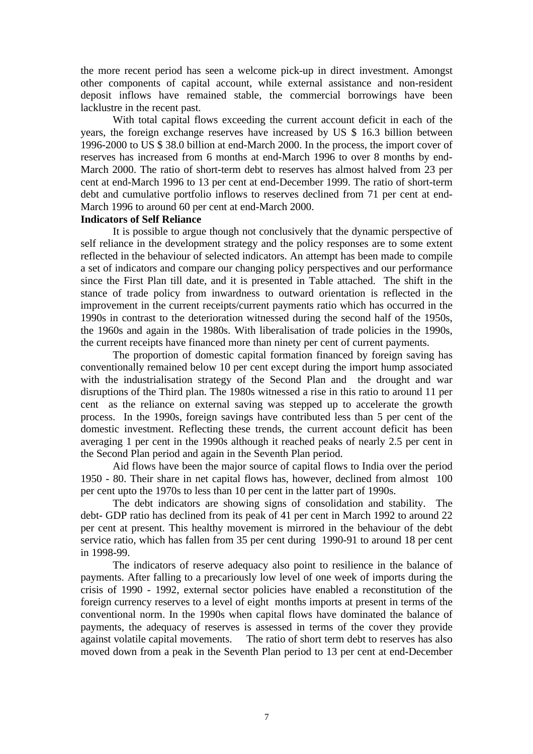the more recent period has seen a welcome pick-up in direct investment. Amongst other components of capital account, while external assistance and non-resident deposit inflows have remained stable, the commercial borrowings have been lacklustre in the recent past.

With total capital flows exceeding the current account deficit in each of the years, the foreign exchange reserves have increased by US \$ 16.3 billion between 1996-2000 to US \$ 38.0 billion at end-March 2000. In the process, the import cover of reserves has increased from 6 months at end-March 1996 to over 8 months by end-March 2000. The ratio of short-term debt to reserves has almost halved from 23 per cent at end-March 1996 to 13 per cent at end-December 1999. The ratio of short-term debt and cumulative portfolio inflows to reserves declined from 71 per cent at end-March 1996 to around 60 per cent at end-March 2000.

### **Indicators of Self Reliance**

It is possible to argue though not conclusively that the dynamic perspective of self reliance in the development strategy and the policy responses are to some extent reflected in the behaviour of selected indicators. An attempt has been made to compile a set of indicators and compare our changing policy perspectives and our performance since the First Plan till date, and it is presented in Table attached. The shift in the stance of trade policy from inwardness to outward orientation is reflected in the improvement in the current receipts/current payments ratio which has occurred in the 1990s in contrast to the deterioration witnessed during the second half of the 1950s, the 1960s and again in the 1980s. With liberalisation of trade policies in the 1990s, the current receipts have financed more than ninety per cent of current payments.

The proportion of domestic capital formation financed by foreign saving has conventionally remained below 10 per cent except during the import hump associated with the industrialisation strategy of the Second Plan and the drought and war disruptions of the Third plan. The 1980s witnessed a rise in this ratio to around 11 per cent as the reliance on external saving was stepped up to accelerate the growth process. In the 1990s, foreign savings have contributed less than 5 per cent of the domestic investment. Reflecting these trends, the current account deficit has been averaging 1 per cent in the 1990s although it reached peaks of nearly 2.5 per cent in the Second Plan period and again in the Seventh Plan period.

Aid flows have been the major source of capital flows to India over the period 1950 - 80. Their share in net capital flows has, however, declined from almost 100 per cent upto the 1970s to less than 10 per cent in the latter part of 1990s.

The debt indicators are showing signs of consolidation and stability. The debt- GDP ratio has declined from its peak of 41 per cent in March 1992 to around 22 per cent at present. This healthy movement is mirrored in the behaviour of the debt service ratio, which has fallen from 35 per cent during 1990-91 to around 18 per cent in 1998-99.

The indicators of reserve adequacy also point to resilience in the balance of payments. After falling to a precariously low level of one week of imports during the crisis of 1990 - 1992, external sector policies have enabled a reconstitution of the foreign currency reserves to a level of eight months imports at present in terms of the conventional norm. In the 1990s when capital flows have dominated the balance of payments, the adequacy of reserves is assessed in terms of the cover they provide against volatile capital movements. The ratio of short term debt to reserves has also moved down from a peak in the Seventh Plan period to 13 per cent at end-December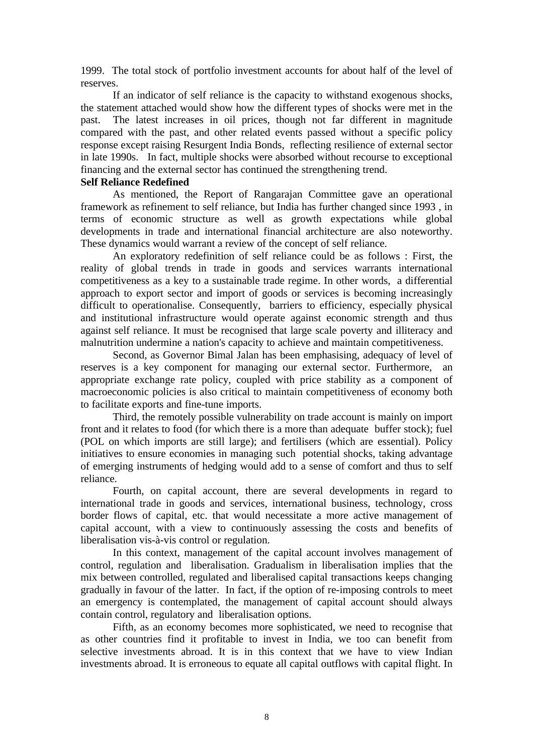1999. The total stock of portfolio investment accounts for about half of the level of reserves.

If an indicator of self reliance is the capacity to withstand exogenous shocks, the statement attached would show how the different types of shocks were met in the past. The latest increases in oil prices, though not far different in magnitude compared with the past, and other related events passed without a specific policy response except raising Resurgent India Bonds, reflecting resilience of external sector in late 1990s. In fact, multiple shocks were absorbed without recourse to exceptional financing and the external sector has continued the strengthening trend.

### **Self Reliance Redefined**

As mentioned, the Report of Rangarajan Committee gave an operational framework as refinement to self reliance, but India has further changed since 1993 , in terms of economic structure as well as growth expectations while global developments in trade and international financial architecture are also noteworthy. These dynamics would warrant a review of the concept of self reliance.

An exploratory redefinition of self reliance could be as follows : First, the reality of global trends in trade in goods and services warrants international competitiveness as a key to a sustainable trade regime. In other words, a differential approach to export sector and import of goods or services is becoming increasingly difficult to operationalise. Consequently, barriers to efficiency, especially physical and institutional infrastructure would operate against economic strength and thus against self reliance. It must be recognised that large scale poverty and illiteracy and malnutrition undermine a nation's capacity to achieve and maintain competitiveness.

Second, as Governor Bimal Jalan has been emphasising, adequacy of level of reserves is a key component for managing our external sector. Furthermore, an appropriate exchange rate policy, coupled with price stability as a component of macroeconomic policies is also critical to maintain competitiveness of economy both to facilitate exports and fine-tune imports.

Third, the remotely possible vulnerability on trade account is mainly on import front and it relates to food (for which there is a more than adequate buffer stock); fuel (POL on which imports are still large); and fertilisers (which are essential). Policy initiatives to ensure economies in managing such potential shocks, taking advantage of emerging instruments of hedging would add to a sense of comfort and thus to self reliance.

Fourth, on capital account, there are several developments in regard to international trade in goods and services, international business, technology, cross border flows of capital, etc. that would necessitate a more active management of capital account, with a view to continuously assessing the costs and benefits of liberalisation vis-à-vis control or regulation.

In this context, management of the capital account involves management of control, regulation and liberalisation. Gradualism in liberalisation implies that the mix between controlled, regulated and liberalised capital transactions keeps changing gradually in favour of the latter. In fact, if the option of re-imposing controls to meet an emergency is contemplated, the management of capital account should always contain control, regulatory and liberalisation options.

Fifth, as an economy becomes more sophisticated, we need to recognise that as other countries find it profitable to invest in India, we too can benefit from selective investments abroad. It is in this context that we have to view Indian investments abroad. It is erroneous to equate all capital outflows with capital flight. In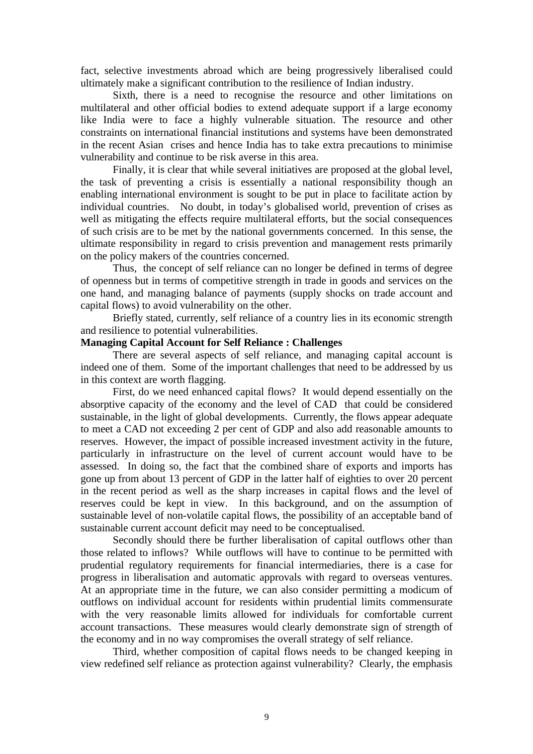fact, selective investments abroad which are being progressively liberalised could ultimately make a significant contribution to the resilience of Indian industry.

Sixth, there is a need to recognise the resource and other limitations on multilateral and other official bodies to extend adequate support if a large economy like India were to face a highly vulnerable situation. The resource and other constraints on international financial institutions and systems have been demonstrated in the recent Asian crises and hence India has to take extra precautions to minimise vulnerability and continue to be risk averse in this area.

Finally, it is clear that while several initiatives are proposed at the global level, the task of preventing a crisis is essentially a national responsibility though an enabling international environment is sought to be put in place to facilitate action by individual countries. No doubt, in today's globalised world, prevention of crises as well as mitigating the effects require multilateral efforts, but the social consequences of such crisis are to be met by the national governments concerned. In this sense, the ultimate responsibility in regard to crisis prevention and management rests primarily on the policy makers of the countries concerned.

Thus, the concept of self reliance can no longer be defined in terms of degree of openness but in terms of competitive strength in trade in goods and services on the one hand, and managing balance of payments (supply shocks on trade account and capital flows) to avoid vulnerability on the other.

Briefly stated, currently, self reliance of a country lies in its economic strength and resilience to potential vulnerabilities.

# **Managing Capital Account for Self Reliance : Challenges**

There are several aspects of self reliance, and managing capital account is indeed one of them. Some of the important challenges that need to be addressed by us in this context are worth flagging.

First, do we need enhanced capital flows? It would depend essentially on the absorptive capacity of the economy and the level of CAD that could be considered sustainable, in the light of global developments. Currently, the flows appear adequate to meet a CAD not exceeding 2 per cent of GDP and also add reasonable amounts to reserves. However, the impact of possible increased investment activity in the future, particularly in infrastructure on the level of current account would have to be assessed. In doing so, the fact that the combined share of exports and imports has gone up from about 13 percent of GDP in the latter half of eighties to over 20 percent in the recent period as well as the sharp increases in capital flows and the level of reserves could be kept in view. In this background, and on the assumption of sustainable level of non-volatile capital flows, the possibility of an acceptable band of sustainable current account deficit may need to be conceptualised.

Secondly should there be further liberalisation of capital outflows other than those related to inflows? While outflows will have to continue to be permitted with prudential regulatory requirements for financial intermediaries, there is a case for progress in liberalisation and automatic approvals with regard to overseas ventures. At an appropriate time in the future, we can also consider permitting a modicum of outflows on individual account for residents within prudential limits commensurate with the very reasonable limits allowed for individuals for comfortable current account transactions. These measures would clearly demonstrate sign of strength of the economy and in no way compromises the overall strategy of self reliance.

Third, whether composition of capital flows needs to be changed keeping in view redefined self reliance as protection against vulnerability? Clearly, the emphasis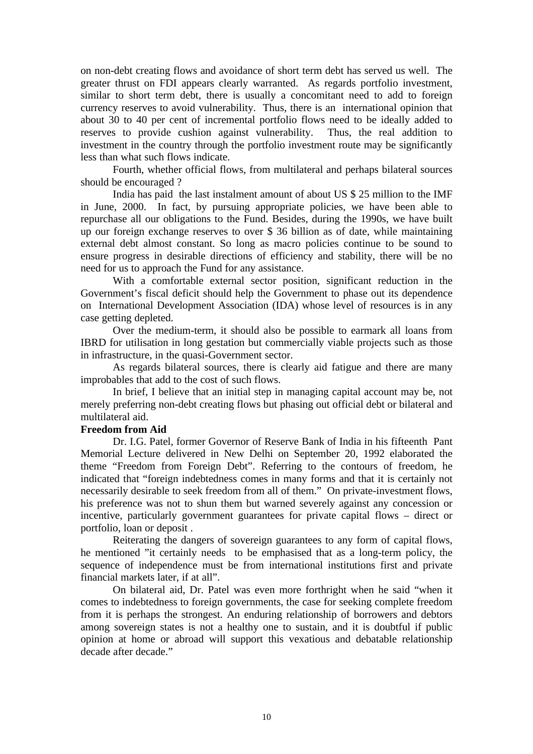on non-debt creating flows and avoidance of short term debt has served us well. The greater thrust on FDI appears clearly warranted. As regards portfolio investment, similar to short term debt, there is usually a concomitant need to add to foreign currency reserves to avoid vulnerability. Thus, there is an international opinion that about 30 to 40 per cent of incremental portfolio flows need to be ideally added to reserves to provide cushion against vulnerability. Thus, the real addition to investment in the country through the portfolio investment route may be significantly less than what such flows indicate.

Fourth, whether official flows, from multilateral and perhaps bilateral sources should be encouraged ?

India has paid the last instalment amount of about US \$ 25 million to the IMF in June, 2000. In fact, by pursuing appropriate policies, we have been able to repurchase all our obligations to the Fund. Besides, during the 1990s, we have built up our foreign exchange reserves to over \$ 36 billion as of date, while maintaining external debt almost constant. So long as macro policies continue to be sound to ensure progress in desirable directions of efficiency and stability, there will be no need for us to approach the Fund for any assistance.

With a comfortable external sector position, significant reduction in the Government's fiscal deficit should help the Government to phase out its dependence on International Development Association (IDA) whose level of resources is in any case getting depleted.

Over the medium-term, it should also be possible to earmark all loans from IBRD for utilisation in long gestation but commercially viable projects such as those in infrastructure, in the quasi-Government sector.

As regards bilateral sources, there is clearly aid fatigue and there are many improbables that add to the cost of such flows.

In brief, I believe that an initial step in managing capital account may be, not merely preferring non-debt creating flows but phasing out official debt or bilateral and multilateral aid.

### **Freedom from Aid**

Dr. I.G. Patel, former Governor of Reserve Bank of India in his fifteenth Pant Memorial Lecture delivered in New Delhi on September 20, 1992 elaborated the theme "Freedom from Foreign Debt". Referring to the contours of freedom, he indicated that "foreign indebtedness comes in many forms and that it is certainly not necessarily desirable to seek freedom from all of them." On private-investment flows, his preference was not to shun them but warned severely against any concession or incentive, particularly government guarantees for private capital flows – direct or portfolio, loan or deposit .

Reiterating the dangers of sovereign guarantees to any form of capital flows, he mentioned "it certainly needs to be emphasised that as a long-term policy, the sequence of independence must be from international institutions first and private financial markets later, if at all".

On bilateral aid, Dr. Patel was even more forthright when he said "when it comes to indebtedness to foreign governments, the case for seeking complete freedom from it is perhaps the strongest. An enduring relationship of borrowers and debtors among sovereign states is not a healthy one to sustain, and it is doubtful if public opinion at home or abroad will support this vexatious and debatable relationship decade after decade."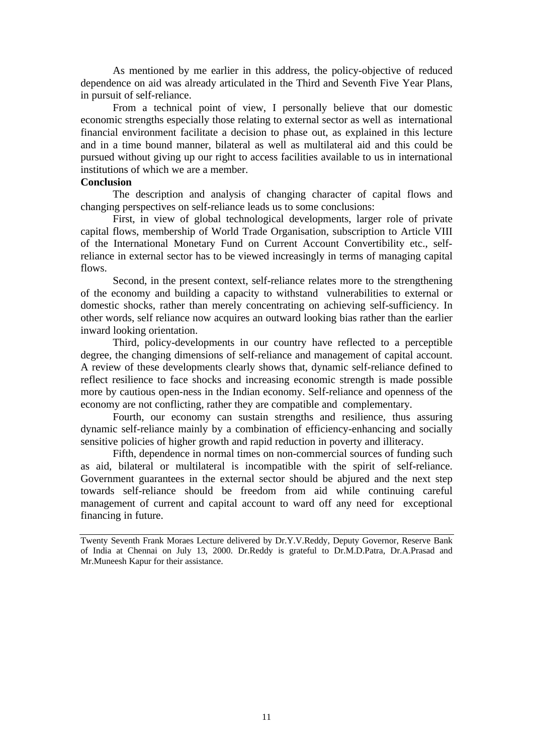As mentioned by me earlier in this address, the policy-objective of reduced dependence on aid was already articulated in the Third and Seventh Five Year Plans, in pursuit of self-reliance.

From a technical point of view, I personally believe that our domestic economic strengths especially those relating to external sector as well as international financial environment facilitate a decision to phase out, as explained in this lecture and in a time bound manner, bilateral as well as multilateral aid and this could be pursued without giving up our right to access facilities available to us in international institutions of which we are a member.

### **Conclusion**

The description and analysis of changing character of capital flows and changing perspectives on self-reliance leads us to some conclusions:

First, in view of global technological developments, larger role of private capital flows, membership of World Trade Organisation, subscription to Article VIII of the International Monetary Fund on Current Account Convertibility etc., selfreliance in external sector has to be viewed increasingly in terms of managing capital flows.

Second, in the present context, self-reliance relates more to the strengthening of the economy and building a capacity to withstand vulnerabilities to external or domestic shocks, rather than merely concentrating on achieving self-sufficiency. In other words, self reliance now acquires an outward looking bias rather than the earlier inward looking orientation.

Third, policy-developments in our country have reflected to a perceptible degree, the changing dimensions of self-reliance and management of capital account. A review of these developments clearly shows that, dynamic self-reliance defined to reflect resilience to face shocks and increasing economic strength is made possible more by cautious open-ness in the Indian economy. Self-reliance and openness of the economy are not conflicting, rather they are compatible and complementary.

Fourth, our economy can sustain strengths and resilience, thus assuring dynamic self-reliance mainly by a combination of efficiency-enhancing and socially sensitive policies of higher growth and rapid reduction in poverty and illiteracy.

Fifth, dependence in normal times on non-commercial sources of funding such as aid, bilateral or multilateral is incompatible with the spirit of self-reliance. Government guarantees in the external sector should be abjured and the next step towards self-reliance should be freedom from aid while continuing careful management of current and capital account to ward off any need for exceptional financing in future.

Twenty Seventh Frank Moraes Lecture delivered by Dr.Y.V.Reddy, Deputy Governor, Reserve Bank of India at Chennai on July 13, 2000. Dr.Reddy is grateful to Dr.M.D.Patra, Dr.A.Prasad and Mr.Muneesh Kapur for their assistance.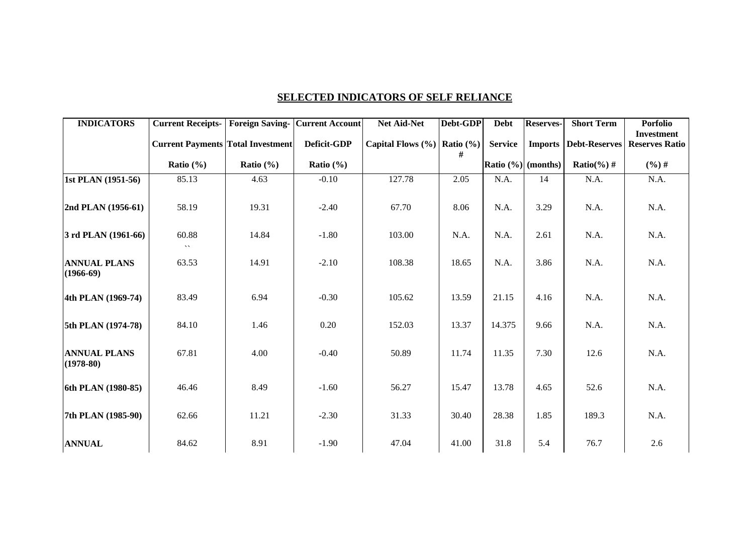|--|

| <b>INDICATORS</b>                  | <b>Current Receipts-</b><br><b>Current Payments Total Investment</b> | <b>Foreign Saving-</b> | <b>Current Account</b><br>Deficit-GDP | Net Aid-Net<br>Capital Flows $(\% )$ Ratio $(\% )$ | Debt-GDP | <b>Debt</b><br><b>Service</b> | <b>Reserves-</b> | <b>Short Term</b><br><b>Imports   Debt-Reserves</b> | <b>Porfolio</b><br><b>Investment</b><br><b>Reserves Ratio</b> |
|------------------------------------|----------------------------------------------------------------------|------------------------|---------------------------------------|----------------------------------------------------|----------|-------------------------------|------------------|-----------------------------------------------------|---------------------------------------------------------------|
|                                    | Ratio $(\% )$                                                        | Ratio $(\% )$          | Ratio $(\% )$                         |                                                    | #        | Ratio $(\% )$ (months)        |                  | $Ratio(\% )$ #                                      | $(%)$ #                                                       |
| 1st PLAN (1951-56)                 | 85.13                                                                | 4.63                   | $-0.10$                               | 127.78                                             | 2.05     | N.A.                          | 14               | N.A.                                                | N.A.                                                          |
| 2nd PLAN (1956-61)                 | 58.19                                                                | 19.31                  | $-2.40$                               | 67.70                                              | 8.06     | N.A.                          | 3.29             | N.A.                                                | N.A.                                                          |
| $3$ rd PLAN (1961-66)              | 60.88<br>$\overline{\phantom{a}}$                                    | 14.84                  | $-1.80$                               | 103.00                                             | N.A.     | N.A.                          | 2.61             | N.A.                                                | N.A.                                                          |
| <b>ANNUAL PLANS</b><br>$(1966-69)$ | 63.53                                                                | 14.91                  | $-2.10$                               | 108.38                                             | 18.65    | N.A.                          | 3.86             | N.A.                                                | N.A.                                                          |
| 4th PLAN (1969-74)                 | 83.49                                                                | 6.94                   | $-0.30$                               | 105.62                                             | 13.59    | 21.15                         | 4.16             | N.A.                                                | N.A.                                                          |
| 5th PLAN (1974-78)                 | 84.10                                                                | 1.46                   | 0.20                                  | 152.03                                             | 13.37    | 14.375                        | 9.66             | N.A.                                                | N.A.                                                          |
| <b>ANNUAL PLANS</b><br>$(1978-80)$ | 67.81                                                                | 4.00                   | $-0.40$                               | 50.89                                              | 11.74    | 11.35                         | 7.30             | 12.6                                                | N.A.                                                          |
| 6th PLAN (1980-85)                 | 46.46                                                                | 8.49                   | $-1.60$                               | 56.27                                              | 15.47    | 13.78                         | 4.65             | 52.6                                                | N.A.                                                          |
| 7th PLAN (1985-90)                 | 62.66                                                                | 11.21                  | $-2.30$                               | 31.33                                              | 30.40    | 28.38                         | 1.85             | 189.3                                               | N.A.                                                          |
| <b>ANNUAL</b>                      | 84.62                                                                | 8.91                   | $-1.90$                               | 47.04                                              | 41.00    | 31.8                          | 5.4              | 76.7                                                | 2.6                                                           |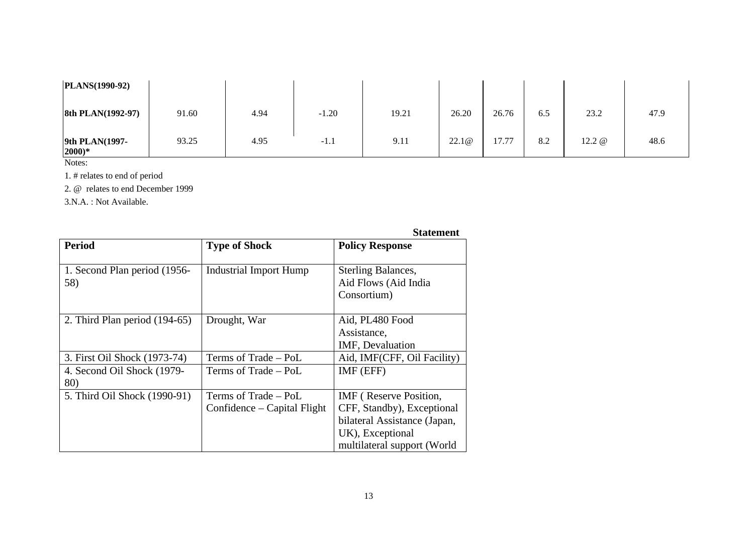| PLANS(1990-92)             |       |      |         |       |       |       |     |          |      |
|----------------------------|-------|------|---------|-------|-------|-------|-----|----------|------|
| 8th PLAN(1992-97)          | 91.60 | 4.94 | $-1.20$ | 19.21 | 26.20 | 26.76 | 6.5 | 23.2     | 47.9 |
| 9th PLAN(1997-<br>$2000)*$ | 93.25 | 4.95 | $-1.1$  | 9.11  | 22.1@ | 17.77 | 8.2 | 12.2 $@$ | 48.6 |

Notes:

1. # relates to end of period

2. @ relates to end December 1999

3.N.A. : Not Available.

|                               |                               | Statement                     |  |  |
|-------------------------------|-------------------------------|-------------------------------|--|--|
| <b>Period</b>                 | <b>Type of Shock</b>          | <b>Policy Response</b>        |  |  |
|                               |                               |                               |  |  |
| 1. Second Plan period (1956-  | Industrial Import Hump        | <b>Sterling Balances,</b>     |  |  |
| 58)                           |                               | Aid Flows (Aid India          |  |  |
|                               |                               | Consortium)                   |  |  |
|                               |                               |                               |  |  |
| 2. Third Plan period (194-65) | Drought, War                  | Aid, PL480 Food               |  |  |
|                               |                               | Assistance,                   |  |  |
|                               |                               | <b>IMF, Devaluation</b>       |  |  |
| 3. First Oil Shock (1973-74)  | Terms of Trade - PoL          | Aid, IMF(CFF, Oil Facility)   |  |  |
| 4. Second Oil Shock (1979-    | Terms of Trade – PoL          | IMF (EFF)                     |  |  |
| 80)                           |                               |                               |  |  |
| 5. Third Oil Shock (1990-91)  | Terms of Trade - PoL          | <b>IMF</b> (Reserve Position, |  |  |
|                               | Confidence $-$ Capital Flight | CFF, Standby), Exceptional    |  |  |
|                               |                               | bilateral Assistance (Japan,  |  |  |
|                               |                               | UK), Exceptional              |  |  |
|                               |                               | multilateral support (World   |  |  |

# **Statement**